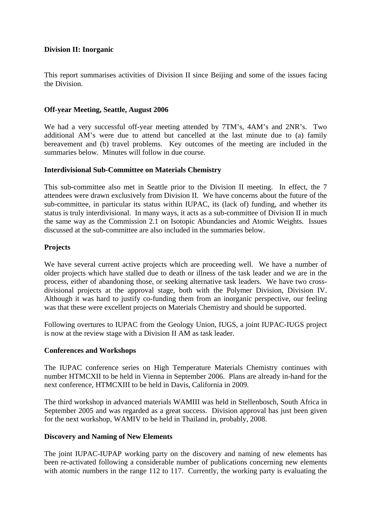## **Division II: Inorganic**

This report summarises activities of Division II since Beijing and some of the issues facing the Division.

### **Off-year Meeting, Seattle, August 2006**

We had a very successful off-year meeting attended by 7TM's, 4AM's and 2NR's. Two additional AM's were due to attend but cancelled at the last minute due to (a) family bereavement and (b) travel problems. Key outcomes of the meeting are included in the summaries below. Minutes will follow in due course.

#### **Interdivisional Sub-Committee on Materials Chemistry**

This sub-committee also met in Seattle prior to the Division II meeting. In effect, the 7 attendees were drawn exclusively from Division II. We have concerns about the future of the sub-committee, in particular its status within IUPAC, its (lack of) funding, and whether its status is truly interdivisional. In many ways, it acts as a sub-committee of Division II in much the same way as the Commission 2.1 on Isotopic Abundancies and Atomic Weights. Issues discussed at the sub-committee are also included in the summaries below.

## **Projects**

We have several current active projects which are proceeding well. We have a number of older projects which have stalled due to death or illness of the task leader and we are in the process, either of abandoning those, or seeking alternative task leaders. We have two crossdivisional projects at the approval stage, both with the Polymer Division, Division IV. Although it was hard to justify co-funding them from an inorganic perspective, our feeling was that these were excellent projects on Materials Chemistry and should be supported.

Following overtures to IUPAC from the Geology Union, IUGS, a joint IUPAC-IUGS project is now at the review stage with a Division II AM as task leader.

#### **Conferences and Workshops**

The IUPAC conference series on High Temperature Materials Chemistry continues with number HTMCXII to be held in Vienna in September 2006. Plans are already in-hand for the next conference, HTMCXIII to be held in Davis, California in 2009.

The third workshop in advanced materials WAMIII was held in Stellenbosch, South Africa in September 2005 and was regarded as a great success. Division approval has just been given for the next workshop, WAMIV to be held in Thailand in, probably, 2008.

#### **Discovery and Naming of New Elements**

The joint IUPAC-IUPAP working party on the discovery and naming of new elements has been re-activated following a considerable number of publications concerning new elements with atomic numbers in the range 112 to 117. Currently, the working party is evaluating the